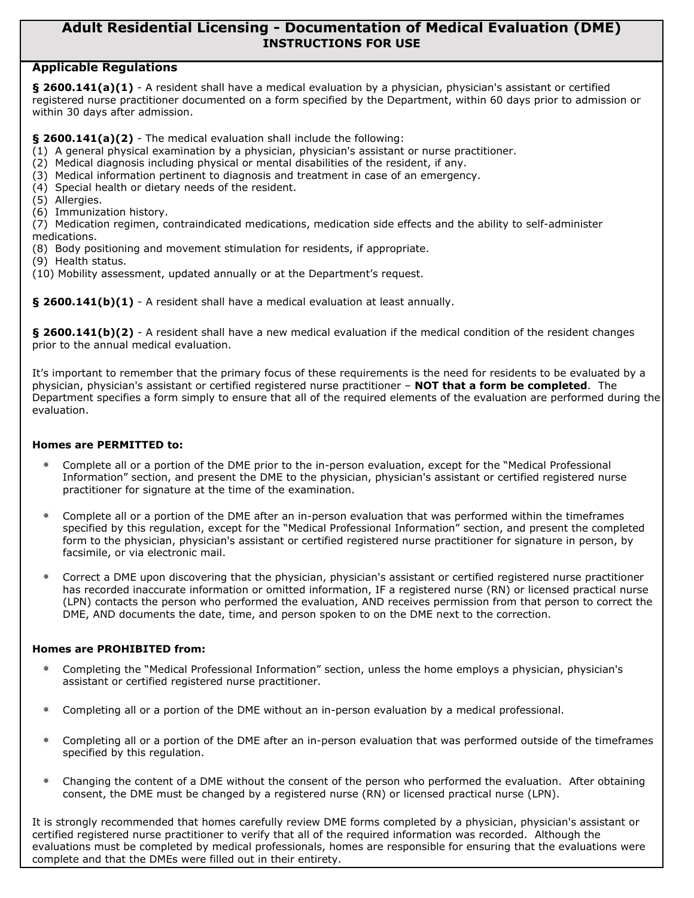## **Adult Residential Licensing - Documentation of Medical Evaluation (DME) INSTRUCTIONS FOR USE**

## **Applicable Regulations**

**§ 2600.141(a)(1)** - A resident shall have a medical evaluation by a physician, physician's assistant or certified registered nurse practitioner documented on a form specified by the Department, within 60 days prior to admission or within 30 days after admission.

**§ 2600.141(a)(2)** - The medical evaluation shall include the following:

- (1) A general physical examination by a physician, physician's assistant or nurse practitioner.
- (2) Medical diagnosis including physical or mental disabilities of the resident, if any.
- (3) Medical information pertinent to diagnosis and treatment in case of an emergency.
- (4) Special health or dietary needs of the resident.
- (5) Allergies.
- (6) Immunization history.

(7) Medication regimen, contraindicated medications, medication side effects and the ability to self-administer medications.

- (8) Body positioning and movement stimulation for residents, if appropriate.
- (9) Health status.
- (10) Mobility assessment, updated annually or at the Department's request.

**§ 2600.141(b)(1)** - A resident shall have a medical evaluation at least annually.

**§ 2600.141(b)(2)** - A resident shall have a new medical evaluation if the medical condition of the resident changes prior to the annual medical evaluation.

It's important to remember that the primary focus of these requirements is the need for residents to be evaluated by a physician, physician's assistant or certified registered nurse practitioner – **NOT that a form be completed**. The Department specifies a form simply to ensure that all of the required elements of the evaluation are performed during the evaluation.

## **Homes are PERMITTED to:**

- Complete all or a portion of the DME prior to the in-person evaluation, except for the "Medical Professional Information" section, and present the DME to the physician, physician's assistant or certified registered nurse practitioner for signature at the time of the examination.
- Complete all or a portion of the DME after an in-person evaluation that was performed within the timeframes specified by this regulation, except for the "Medical Professional Information" section, and present the completed form to the physician, physician's assistant or certified registered nurse practitioner for signature in person, by facsimile, or via electronic mail.
- Correct a DME upon discovering that the physician, physician's assistant or certified registered nurse practitioner  $\bullet$ has recorded inaccurate information or omitted information, IF a registered nurse (RN) or licensed practical nurse (LPN) contacts the person who performed the evaluation, AND receives permission from that person to correct the DME, AND documents the date, time, and person spoken to on the DME next to the correction.

## **Homes are PROHIBITED from:**

- Completing the "Medical Professional Information" section, unless the home employs a physician, physician's assistant or certified registered nurse practitioner.
- Completing all or a portion of the DME without an in-person evaluation by a medical professional.
- Completing all or a portion of the DME after an in-person evaluation that was performed outside of the timeframes  $\bullet$ specified by this regulation.
- $\bullet$ Changing the content of a DME without the consent of the person who performed the evaluation. After obtaining consent, the DME must be changed by a registered nurse (RN) or licensed practical nurse (LPN).

It is strongly recommended that homes carefully review DME forms completed by a physician, physician's assistant or certified registered nurse practitioner to verify that all of the required information was recorded. Although the evaluations must be completed by medical professionals, homes are responsible for ensuring that the evaluations were complete and that the DMEs were filled out in their entirety.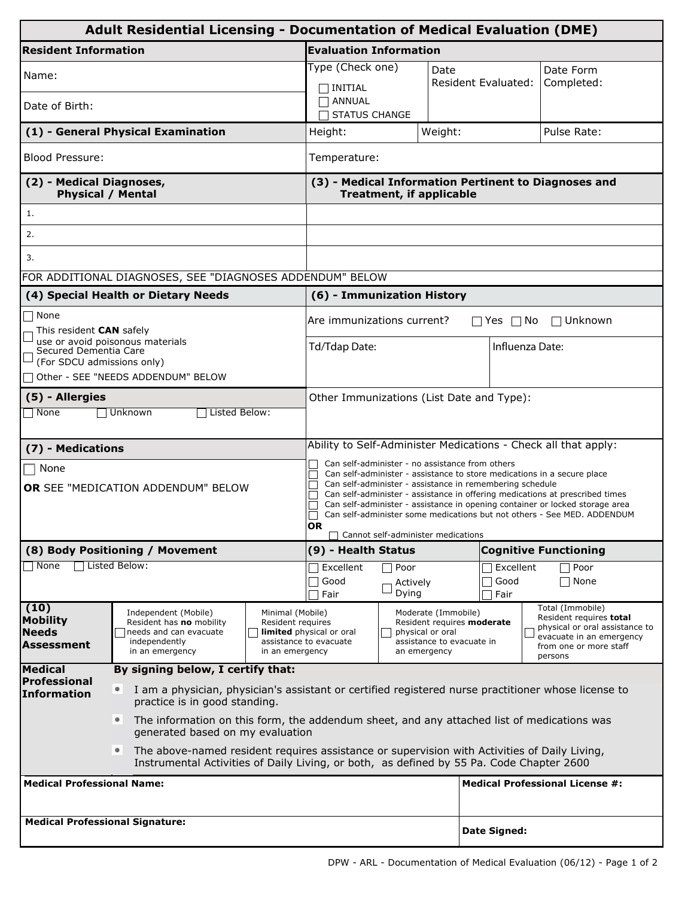| Adult Residential Licensing - Documentation of Medical Evaluation (DME) |                                                                                                                                                                                               |                                                                                            |                                                                                                                                                          |                                                                                                                                                                                                                                                                                                     |              |                              |                                                                                      |  |  |  |
|-------------------------------------------------------------------------|-----------------------------------------------------------------------------------------------------------------------------------------------------------------------------------------------|--------------------------------------------------------------------------------------------|----------------------------------------------------------------------------------------------------------------------------------------------------------|-----------------------------------------------------------------------------------------------------------------------------------------------------------------------------------------------------------------------------------------------------------------------------------------------------|--------------|------------------------------|--------------------------------------------------------------------------------------|--|--|--|
| <b>Resident Information</b>                                             | <b>Evaluation Information</b>                                                                                                                                                                 |                                                                                            |                                                                                                                                                          |                                                                                                                                                                                                                                                                                                     |              |                              |                                                                                      |  |  |  |
| Name:                                                                   |                                                                                                                                                                                               |                                                                                            |                                                                                                                                                          | Type (Check one)<br>Date                                                                                                                                                                                                                                                                            |              |                              | Date Form                                                                            |  |  |  |
| Date of Birth:                                                          |                                                                                                                                                                                               |                                                                                            | $\sqcap$ INITIAL<br><b>TANNUAL</b><br><b>STATUS CHANGE</b>                                                                                               |                                                                                                                                                                                                                                                                                                     |              | Resident Evaluated:          | Completed:                                                                           |  |  |  |
|                                                                         | (1) - General Physical Examination                                                                                                                                                            |                                                                                            | Height:                                                                                                                                                  |                                                                                                                                                                                                                                                                                                     | Weight:      |                              | Pulse Rate:                                                                          |  |  |  |
| <b>Blood Pressure:</b>                                                  |                                                                                                                                                                                               |                                                                                            |                                                                                                                                                          | Temperature:                                                                                                                                                                                                                                                                                        |              |                              |                                                                                      |  |  |  |
| (2) - Medical Diagnoses,<br><b>Physical / Mental</b>                    |                                                                                                                                                                                               |                                                                                            | (3) - Medical Information Pertinent to Diagnoses and<br><b>Treatment, if applicable</b>                                                                  |                                                                                                                                                                                                                                                                                                     |              |                              |                                                                                      |  |  |  |
| 1.                                                                      |                                                                                                                                                                                               |                                                                                            |                                                                                                                                                          |                                                                                                                                                                                                                                                                                                     |              |                              |                                                                                      |  |  |  |
| 2.                                                                      |                                                                                                                                                                                               |                                                                                            |                                                                                                                                                          |                                                                                                                                                                                                                                                                                                     |              |                              |                                                                                      |  |  |  |
| 3.                                                                      |                                                                                                                                                                                               |                                                                                            |                                                                                                                                                          |                                                                                                                                                                                                                                                                                                     |              |                              |                                                                                      |  |  |  |
|                                                                         | FOR ADDITIONAL DIAGNOSES, SEE "DIAGNOSES ADDENDUM" BELOW                                                                                                                                      |                                                                                            |                                                                                                                                                          |                                                                                                                                                                                                                                                                                                     |              |                              |                                                                                      |  |  |  |
|                                                                         | (4) Special Health or Dietary Needs                                                                                                                                                           |                                                                                            | (6) - Immunization History                                                                                                                               |                                                                                                                                                                                                                                                                                                     |              |                              |                                                                                      |  |  |  |
| $\sqsupset$ None                                                        | Are immunizations current?<br>$\Box$ Yes $\Box$ No<br>$\Box$ Unknown                                                                                                                          |                                                                                            |                                                                                                                                                          |                                                                                                                                                                                                                                                                                                     |              |                              |                                                                                      |  |  |  |
| This resident CAN safely<br>Secured Dementia Care                       | use or avoid poisonous materials                                                                                                                                                              |                                                                                            | Td/Tdap Date:                                                                                                                                            | Influenza Date:                                                                                                                                                                                                                                                                                     |              |                              |                                                                                      |  |  |  |
| (For SDCU admissions only)                                              |                                                                                                                                                                                               |                                                                                            |                                                                                                                                                          |                                                                                                                                                                                                                                                                                                     |              |                              |                                                                                      |  |  |  |
| Other - SEE "NEEDS ADDENDUM" BELOW                                      |                                                                                                                                                                                               |                                                                                            |                                                                                                                                                          |                                                                                                                                                                                                                                                                                                     |              |                              |                                                                                      |  |  |  |
| (5) - Allergies<br>$\Box$ None                                          | Unknown<br>Listed Below:                                                                                                                                                                      |                                                                                            | Other Immunizations (List Date and Type):                                                                                                                |                                                                                                                                                                                                                                                                                                     |              |                              |                                                                                      |  |  |  |
|                                                                         |                                                                                                                                                                                               |                                                                                            |                                                                                                                                                          |                                                                                                                                                                                                                                                                                                     |              |                              |                                                                                      |  |  |  |
| (7) - Medications                                                       |                                                                                                                                                                                               |                                                                                            | Ability to Self-Administer Medications - Check all that apply:                                                                                           |                                                                                                                                                                                                                                                                                                     |              |                              |                                                                                      |  |  |  |
| $\Box$ None                                                             | Can self-administer - no assistance from others<br>Can self-administer - assistance to store medications in a secure place                                                                    |                                                                                            |                                                                                                                                                          |                                                                                                                                                                                                                                                                                                     |              |                              |                                                                                      |  |  |  |
|                                                                         | OR SEE "MEDICATION ADDENDUM" BELOW                                                                                                                                                            |                                                                                            |                                                                                                                                                          | Can self-administer - assistance in remembering schedule<br>Can self-administer - assistance in offering medications at prescribed times<br>Can self-administer - assistance in opening container or locked storage area<br>Can self-administer some medications but not others - See MED. ADDENDUM |              |                              |                                                                                      |  |  |  |
|                                                                         |                                                                                                                                                                                               |                                                                                            |                                                                                                                                                          |                                                                                                                                                                                                                                                                                                     |              |                              |                                                                                      |  |  |  |
|                                                                         |                                                                                                                                                                                               |                                                                                            | <b>OR</b><br>Cannot self-administer medications                                                                                                          |                                                                                                                                                                                                                                                                                                     |              |                              |                                                                                      |  |  |  |
|                                                                         | (8) Body Positioning / Movement                                                                                                                                                               |                                                                                            | (9) - Health Status                                                                                                                                      |                                                                                                                                                                                                                                                                                                     |              | <b>Cognitive Functioning</b> |                                                                                      |  |  |  |
| Listed Below:<br><b>None</b>                                            | Excellent<br>Good                                                                                                                                                                             | Poor<br>Actively                                                                           |                                                                                                                                                          | Excellent<br>Good                                                                                                                                                                                                                                                                                   | Poor<br>None |                              |                                                                                      |  |  |  |
|                                                                         | Fair                                                                                                                                                                                          | Dying                                                                                      |                                                                                                                                                          | Fair                                                                                                                                                                                                                                                                                                |              |                              |                                                                                      |  |  |  |
| (10)<br><b>Mobility</b>                                                 | Independent (Mobile)<br>Minimal (Mobile)<br>Resident has no mobility<br>Resident requires<br>needs and can evacuate<br>independently                                                          |                                                                                            | Moderate (Immobile)<br>Resident requires moderate<br>limited physical or oral<br>physical or oral<br>assistance to evacuate<br>assistance to evacuate in |                                                                                                                                                                                                                                                                                                     |              |                              | Total (Immobile)<br>Resident requires total                                          |  |  |  |
| Needs<br>Assessment                                                     |                                                                                                                                                                                               |                                                                                            |                                                                                                                                                          |                                                                                                                                                                                                                                                                                                     |              |                              | physical or oral assistance to<br>evacuate in an emergency<br>from one or more staff |  |  |  |
| <b>Medical</b>                                                          | in an emergency                                                                                                                                                                               | in an emergency<br>an emergency                                                            |                                                                                                                                                          |                                                                                                                                                                                                                                                                                                     |              | persons                      |                                                                                      |  |  |  |
| <b>Professional</b><br><b>Information</b>                               | By signing below, I certify that:<br>$\circ$<br>I am a physician, physician's assistant or certified registered nurse practitioner whose license to                                           |                                                                                            |                                                                                                                                                          |                                                                                                                                                                                                                                                                                                     |              |                              |                                                                                      |  |  |  |
|                                                                         | practice is in good standing.                                                                                                                                                                 |                                                                                            |                                                                                                                                                          |                                                                                                                                                                                                                                                                                                     |              |                              |                                                                                      |  |  |  |
|                                                                         | ۰<br>generated based on my evaluation                                                                                                                                                         | The information on this form, the addendum sheet, and any attached list of medications was |                                                                                                                                                          |                                                                                                                                                                                                                                                                                                     |              |                              |                                                                                      |  |  |  |
|                                                                         | The above-named resident requires assistance or supervision with Activities of Daily Living,<br>۰<br>Instrumental Activities of Daily Living, or both, as defined by 55 Pa. Code Chapter 2600 |                                                                                            |                                                                                                                                                          |                                                                                                                                                                                                                                                                                                     |              |                              |                                                                                      |  |  |  |
| <b>Medical Professional Name:</b>                                       |                                                                                                                                                                                               | <b>Medical Professional License #:</b>                                                     |                                                                                                                                                          |                                                                                                                                                                                                                                                                                                     |              |                              |                                                                                      |  |  |  |
| <b>Medical Professional Signature:</b>                                  |                                                                                                                                                                                               |                                                                                            |                                                                                                                                                          |                                                                                                                                                                                                                                                                                                     |              |                              |                                                                                      |  |  |  |
|                                                                         |                                                                                                                                                                                               |                                                                                            |                                                                                                                                                          |                                                                                                                                                                                                                                                                                                     |              | Date Signed:                 |                                                                                      |  |  |  |